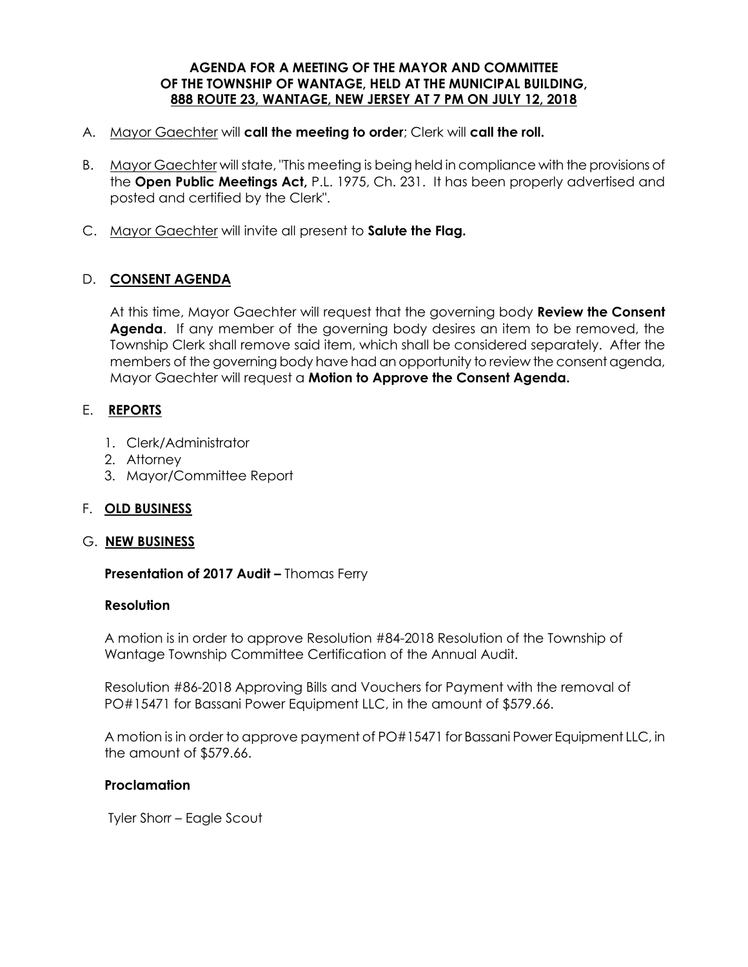#### **AGENDA FOR A MEETING OF THE MAYOR AND COMMITTEE OF THE TOWNSHIP OF WANTAGE, HELD AT THE MUNICIPAL BUILDING, 888 ROUTE 23, WANTAGE, NEW JERSEY AT 7 PM ON JULY 12, 2018**

- A. Mayor Gaechter will **call the meeting to order**; Clerk will **call the roll.**
- B. Mayor Gaechter will state, "This meeting is being held in compliance with the provisions of the **Open Public Meetings Act,** P.L. 1975, Ch. 231. It has been properly advertised and posted and certified by the Clerk".
- C. Mayor Gaechter will invite all present to **Salute the Flag.**

### D. **CONSENT AGENDA**

At this time, Mayor Gaechter will request that the governing body **Review the Consent Agenda**. If any member of the governing body desires an item to be removed, the Township Clerk shall remove said item, which shall be considered separately. After the members of the governing body have had an opportunity to review the consent agenda, Mayor Gaechter will request a **Motion to Approve the Consent Agenda.** 

#### E. **REPORTS**

- 1. Clerk/Administrator
- 2. Attorney
- 3. Mayor/Committee Report

#### F. **OLD BUSINESS**

#### G. **NEW BUSINESS**

 **Presentation of 2017 Audit –** Thomas Ferry

#### **Resolution**

 A motion is in order to approve Resolution #84-2018 Resolution of the Township of Wantage Township Committee Certification of the Annual Audit.

 Resolution #86-2018 Approving Bills and Vouchers for Payment with the removal of PO#15471 for Bassani Power Equipment LLC, in the amount of \$579.66.

A motion is in order to approve payment of PO#15471 for Bassani Power Equipment LLC, in the amount of \$579.66.

#### **Proclamation**

Tyler Shorr – Eagle Scout